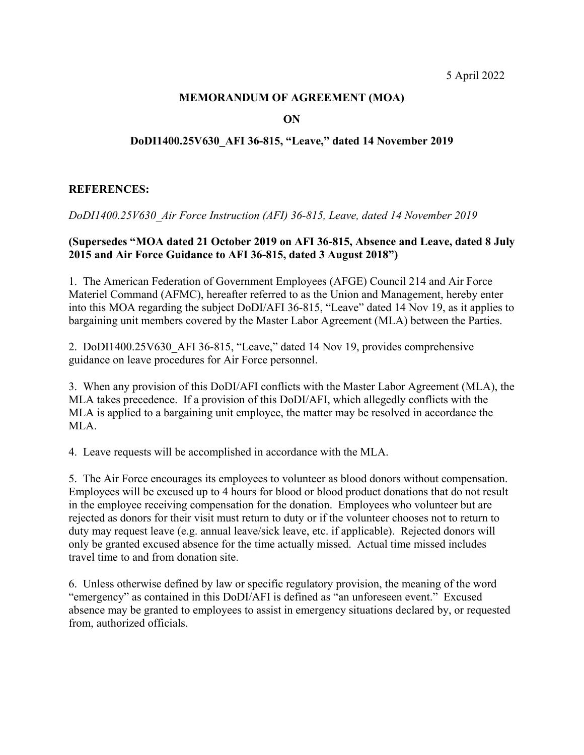## **MEMORANDUM OF AGREEMENT (MOA)**

**ON**

## **DoDI1400.25V630\_AFI 36-815, "Leave," dated 14 November 2019**

## **REFERENCES:**

*DoDI1400.25V630\_Air Force Instruction (AFI) 36-815, Leave, dated 14 November 2019*

## **(Supersedes "MOA dated 21 October 2019 on AFI 36-815, Absence and Leave, dated 8 July 2015 and Air Force Guidance to AFI 36-815, dated 3 August 2018")**

1. The American Federation of Government Employees (AFGE) Council 214 and Air Force Materiel Command (AFMC), hereafter referred to as the Union and Management, hereby enter into this MOA regarding the subject DoDI/AFI 36-815, "Leave" dated 14 Nov 19, as it applies to bargaining unit members covered by the Master Labor Agreement (MLA) between the Parties.

2. DoDI1400.25V630\_AFI 36-815, "Leave," dated 14 Nov 19, provides comprehensive guidance on leave procedures for Air Force personnel.

3. When any provision of this DoDI/AFI conflicts with the Master Labor Agreement (MLA), the MLA takes precedence. If a provision of this DoDI/AFI, which allegedly conflicts with the MLA is applied to a bargaining unit employee, the matter may be resolved in accordance the MLA.

4. Leave requests will be accomplished in accordance with the MLA.

5. The Air Force encourages its employees to volunteer as blood donors without compensation. Employees will be excused up to 4 hours for blood or blood product donations that do not result in the employee receiving compensation for the donation. Employees who volunteer but are rejected as donors for their visit must return to duty or if the volunteer chooses not to return to duty may request leave (e.g. annual leave/sick leave, etc. if applicable). Rejected donors will only be granted excused absence for the time actually missed. Actual time missed includes travel time to and from donation site.

6. Unless otherwise defined by law or specific regulatory provision, the meaning of the word "emergency" as contained in this DoDI/AFI is defined as "an unforeseen event." Excused absence may be granted to employees to assist in emergency situations declared by, or requested from, authorized officials.